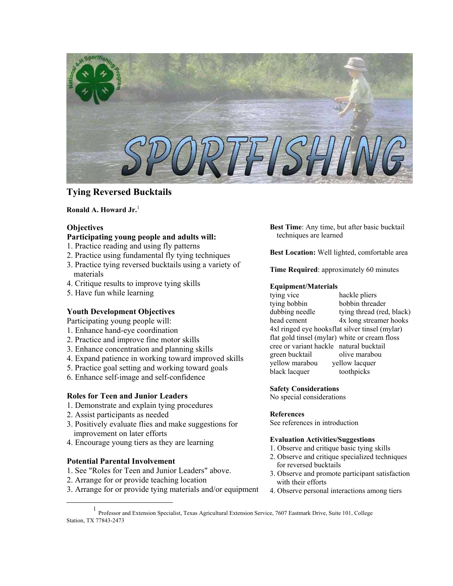

# **Tying Reversed Bucktails**

## **Ronald A. Howard Jr.** [1](#page-0-0)

## **Objectives**

### **Participating young people and adults will:**

- 1. Practice reading and using fly patterns
- 2. Practice using fundamental fly tying techniques
- 3. Practice tying reversed bucktails using a variety of materials
- 4. Critique results to improve tying skills
- 5. Have fun while learning

## **Youth Development Objectives**

Participating young people will:

- 1. Enhance hand-eye coordination
- 2. Practice and improve fine motor skills
- 3. Enhance concentration and planning skills
- 4. Expand patience in working toward improved skills
- 5. Practice goal setting and working toward goals
- 6. Enhance self-image and self-confidence

### **Roles for Teen and Junior Leaders**

- 1. Demonstrate and explain tying procedures
- 2. Assist participants as needed
- 3. Positively evaluate flies and make suggestions for improvement on later efforts
- 4. Encourage young tiers as they are learning

## **Potential Parental Involvement**

- 1. See "Roles for Teen and Junior Leaders" above.
- 2. Arrange for or provide teaching location
- 3. Arrange for or provide tying materials and/or equipment

**Best Time**: Any time, but after basic bucktail techniques are learned

**Best Location:** Well lighted, comfortable area

**Time Required**: approximately 60 minutes

### **Equipment/Materials**

tying vice hackle pliers tying bobbin bobbin threader dubbing needle tying thread (red, black) head cement 4x long streamer hooks 4xl ringed eye hooksflat silver tinsel (mylar) flat gold tinsel (mylar) white or cream floss cree or variant hackle natural bucktail green bucktail olive marabou yellow marabou yellow lacquer black lacquer toothpicks

## **Safety Considerations**

No special considerations

### **References**

See references in introduction

### **Evaluation Activities/Suggestions**

- 1. Observe and critique basic tying skills
- 2. Observe and critique specialized techniques for reversed bucktails
- 3. Observe and promote participant satisfaction with their efforts
- 4. Observe personal interactions among tiers

<span id="page-0-0"></span><sup>&</sup>lt;u>1</u> Professor and Extension Specialist, Texas Agricultural Extension Service, 7607 Eastmark Drive, Suite 101, College Station, TX 77843-2473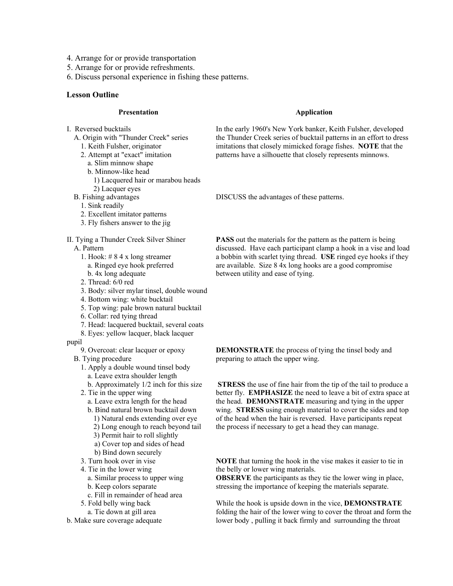- 4. Arrange for or provide transportation
- 5. Arrange for or provide refreshments.
- 6. Discuss personal experience in fishing these patterns.

#### **Lesson Outline**

### **Presentation**

- I. Reversed bucktails
	- A. Origin with "Thunder Creek" series
		- 1. Keith Fulsher, originator
		- 2. Attempt at "exact" imitation
		- a. Slim minnow shape
		- b. Minnow-like head
			- 1) Lacquered hair or marabou heads
		- 2) Lacquer eyes
	- B. Fishing advantages
		- 1. Sink readily
		- 2. Excellent imitator patterns
		- 3. Fly fishers answer to the jig
- II. Tying a Thunder Creek Silver Shiner

A. Pattern

- 1. Hook: # 8 4 x long streamer a. Ringed eye hook preferred
- b. 4x long adequate
- 2. Thread: 6/0 red
- 3. Body: silver mylar tinsel, double wound
- 4. Bottom wing: white bucktail
- 5. Top wing: pale brown natural bucktail
- 6. Collar: red tying thread
- 7. Head: lacquered bucktail, several coats
- 8. Eyes: yellow lacquer, black lacquer
- pupil

9. Overcoat: clear lacquer or epoxy

- B. Tying procedure
	- 1. Apply a double wound tinsel body
		- a. Leave extra shoulder length
		- b. Approximately 1/2 inch for this size
	- 2. Tie in the upper wing
		- a. Leave extra length for the head
		- b. Bind natural brown bucktail down
			- 1) Natural ends extending over eye
			- 2) Long enough to reach beyond tail
			- 3) Permit hair to roll slightly
			- a) Cover top and sides of head
		- b) Bind down securely
	- 3. Turn hook over in vise
	- 4. Tie in the lower wing
		- a. Similar process to upper wing
	- b. Keep colors separate
	- c. Fill in remainder of head area
	- 5. Fold belly wing back
	- a. Tie down at gill area
- b. Make sure coverage adequate

#### **Application**

In the early 1960's New York banker, Keith Fulsher, developed the Thunder Creek series of bucktail patterns in an effort to dress imitations that closely mimicked forage fishes. **NOTE** that the patterns have a silhouette that closely represents minnows.

DISCUSS the advantages of these patterns.

**PASS** out the materials for the pattern as the pattern is being discussed. Have each participant clamp a hook in a vise and load a bobbin with scarlet tying thread. **USE** ringed eye hooks if they are available. Size 8 4x long hooks are a good compromise between utility and ease of tying.

**DEMONSTRATE** the process of tying the tinsel body and preparing to attach the upper wing.

**STRESS** the use of fine hair from the tip of the tail to produce a better fly. **EMPHASIZE** the need to leave a bit of extra space at the head. **DEMONSTRATE** measuring and tying in the upper wing. **STRESS** using enough material to cover the sides and top of the head when the hair is reversed. Have participants repeat the process if necessary to get a head they can manage.

**NOTE** that turning the hook in the vise makes it easier to tie in the belly or lower wing materials.

**OBSERVE** the participants as they tie the lower wing in place, stressing the importance of keeping the materials separate.

While the hook is upside down in the vice, **DEMONSTRATE** folding the hair of the lower wing to cover the throat and form the lower body , pulling it back firmly and surrounding the throat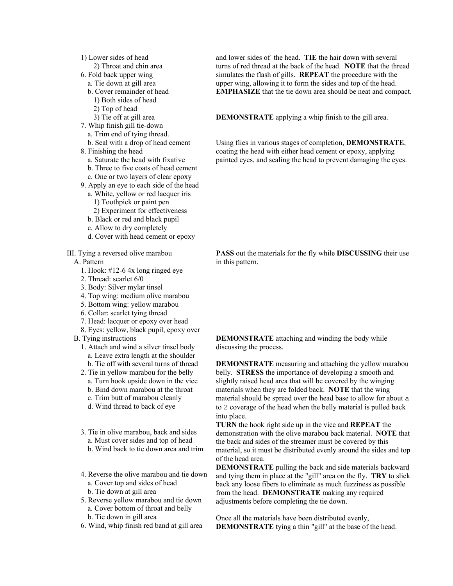- 1) Lower sides of head
- 2) Throat and chin area
- 6. Fold back upper wing
	- a. Tie down at gill area
	- b. Cover remainder of head
		- 1) Both sides of head
		- 2) Top of head
	- 3) Tie off at gill area
- 7. Whip finish gill tie-down
	- a. Trim end of tying thread.
	- b. Seal with a drop of head cement
- 8. Finishing the head
	- a. Saturate the head with fixative
	- b. Three to five coats of head cement
	- c. One or two layers of clear epoxy
- 9. Apply an eye to each side of the head
	- a. White, yellow or red lacquer iris
		- 1) Toothpick or paint pen
	- 2) Experiment for effectiveness
	- b. Black or red and black pupil
	- c. Allow to dry completely
	- d. Cover with head cement or epoxy

III. Tying a reversed olive marabou

- A. Pattern
	- 1. Hook: #12-6 4x long ringed eye
	- 2. Thread: scarlet 6/0
	- 3. Body: Silver mylar tinsel
	- 4. Top wing: medium olive marabou
	- 5. Bottom wing: yellow marabou
	- 6. Collar: scarlet tying thread
	- 7. Head: lacquer or epoxy over head
	- 8. Eyes: yellow, black pupil, epoxy over
- B. Tying instructions
	- 1. Attach and wind a silver tinsel body
		- a. Leave extra length at the shoulder
	- b. Tie off with several turns of thread
	- 2. Tie in yellow marabou for the belly
		- a. Turn hook upside down in the vice
		- b. Bind down marabou at the throat
		- c. Trim butt of marabou cleanly
		- d. Wind thread to back of eye
	- 3. Tie in olive marabou, back and sides a. Must cover sides and top of head
		- b. Wind back to tie down area and trim
	- 4. Reverse the olive marabou and tie down
	- a. Cover top and sides of head b. Tie down at gill area
	- 5. Reverse yellow marabou and tie down a. Cover bottom of throat and belly b. Tie down in gill area
		-
	- 6. Wind, whip finish red band at gill area

and lower sides of the head. **TIE** the hair down with several turns of red thread at the back of the head. **NOTE** that the thread simulates the flash of gills. **REPEAT** the procedure with the upper wing, allowing it to form the sides and top of the head. **EMPHASIZE** that the tie down area should be neat and compact.

**DEMONSTRATE** applying a whip finish to the gill area.

Using flies in various stages of completion, **DEMONSTRATE**, coating the head with either head cement or epoxy, applying painted eyes, and sealing the head to prevent damaging the eyes.

**PASS** out the materials for the fly while **DISCUSSING** their use in this pattern.

**DEMONSTRATE** attaching and winding the body while discussing the process.

**DEMONSTRATE** measuring and attaching the yellow marabou belly. **STRESS** the importance of developing a smooth and slightly raised head area that will be covered by the winging materials when they are folded back. **NOTE** that the wing material should be spread over the head base to allow for about a to 2 coverage of the head when the belly material is pulled back into place.

**TURN** the hook right side up in the vice and **REPEAT** the demonstration with the olive marabou back material. **NOTE** that the back and sides of the streamer must be covered by this material, so it must be distributed evenly around the sides and top of the head area.

**DEMONSTRATE** pulling the back and side materials backward and tying them in place at the "gill" area on the fly. **TRY** to slick back any loose fibers to eliminate as much fuzziness as possible from the head. **DEMONSTRATE** making any required adjustments before completing the tie down.

Once all the materials have been distributed evenly, **DEMONSTRATE** tying a thin "gill" at the base of the head.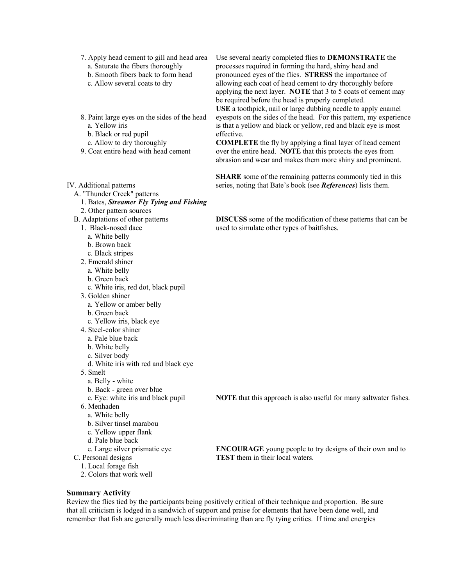- 7. Apply head cement to gill and head area
	- a. Saturate the fibers thoroughly
	- b. Smooth fibers back to form head
	- c. Allow several coats to dry
- 8. Paint large eyes on the sides of the head a. Yellow iris
	- b. Black or red pupil
	- c. Allow to dry thoroughly
- 9. Coat entire head with head cement
- IV. Additional patterns
	- A. "Thunder Creek" patterns
		- 1. Bates, *Streamer Fly Tying and Fishing* 2. Other pattern sources
	- B. Adaptations of other patterns
		- 1. Black-nosed dace
			- a. White belly
			- b. Brown back
			- c. Black stripes
		- 2. Emerald shiner
			- a. White belly
			- b. Green back
			- c. White iris, red dot, black pupil
		- 3. Golden shiner
			- a. Yellow or amber belly
			- b. Green back
			- c. Yellow iris, black eye
		- 4. Steel-color shiner
			- a. Pale blue back
			- b. White belly
			- c. Silver body
			- d. White iris with red and black eye
		- 5. Smelt
			- a. Belly white
			- b. Back green over blue
			- c. Eye: white iris and black pupil
		- 6. Menhaden
			- a. White belly
			- b. Silver tinsel marabou
			- c. Yellow upper flank
		- d. Pale blue back
		- e. Large silver prismatic eye
	- C. Personal designs
		- 1. Local forage fish
		- 2. Colors that work well

Use several nearly completed flies to **DEMONSTRATE** the processes required in forming the hard, shiny head and pronounced eyes of the flies. **STRESS** the importance of allowing each coat of head cement to dry thoroughly before applying the next layer. **NOTE** that 3 to 5 coats of cement may be required before the head is properly completed.

**USE** a toothpick, nail or large dubbing needle to apply enamel eyespots on the sides of the head. For this pattern, my experience is that a yellow and black or yellow, red and black eye is most effective.

**COMPLETE** the fly by applying a final layer of head cement over the entire head. **NOTE** that this protects the eyes from abrasion and wear and makes them more shiny and prominent.

**SHARE** some of the remaining patterns commonly tied in this series, noting that Bate's book (see *References*) lists them.

**DISCUSS** some of the modification of these patterns that can be used to simulate other types of baitfishes.

**NOTE** that this approach is also useful for many saltwater fishes.

**ENCOURAGE** young people to try designs of their own and to **TEST** them in their local waters.

#### **Summary Activity**

Review the flies tied by the participants being positively critical of their technique and proportion. Be sure that all criticism is lodged in a sandwich of support and praise for elements that have been done well, and remember that fish are generally much less discriminating than are fly tying critics. If time and energies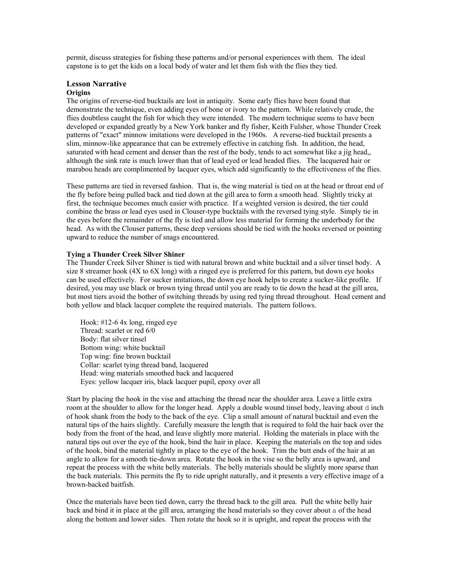permit, discuss strategies for fishing these patterns and/or personal experiences with them. The ideal capstone is to get the kids on a local body of water and let them fish with the flies they tied.

#### **Lesson Narrative Origins**

The origins of reverse-tied bucktails are lost in antiquity. Some early flies have been found that demonstrate the technique, even adding eyes of bone or ivory to the pattern. While relatively crude, the flies doubtless caught the fish for which they were intended. The modern technique seems to have been developed or expanded greatly by a New York banker and fly fisher, Keith Fulsher, whose Thunder Creek patterns of "exact" minnow imitations were developed in the 1960s. A reverse-tied bucktail presents a slim, minnow-like appearance that can be extremely effective in catching fish. In addition, the head, saturated with head cement and denser than the rest of the body, tends to act somewhat like a jig head,, although the sink rate is much lower than that of lead eyed or lead headed flies. The lacquered hair or marabou heads are complimented by lacquer eyes, which add significantly to the effectiveness of the flies.

These patterns are tied in reversed fashion. That is, the wing material is tied on at the head or throat end of the fly before being pulled back and tied down at the gill area to form a smooth head. Slightly tricky at first, the technique becomes much easier with practice. If a weighted version is desired, the tier could combine the brass or lead eyes used in Clouser-type bucktails with the reversed tying style. Simply tie in the eyes before the remainder of the fly is tied and allow less material for forming the underbody for the head. As with the Clouser patterns, these deep versions should be tied with the hooks reversed or pointing upward to reduce the number of snags encountered.

#### **Tying a Thunder Creek Silver Shiner**

The Thunder Creek Silver Shiner is tied with natural brown and white bucktail and a silver tinsel body. A size 8 streamer hook (4X to 6X long) with a ringed eye is preferred for this pattern, but down eye hooks can be used effectively. For sucker imitations, the down eye hook helps to create a sucker-like profile. If desired, you may use black or brown tying thread until you are ready to tie down the head at the gill area, but most tiers avoid the bother of switching threads by using red tying thread throughout. Head cement and both yellow and black lacquer complete the required materials. The pattern follows.

Hook: #12-6 4x long, ringed eye Thread: scarlet or red 6/0 Body: flat silver tinsel Bottom wing: white bucktail Top wing: fine brown bucktail Collar: scarlet tying thread band, lacquered Head: wing materials smoothed back and lacquered Eyes: yellow lacquer iris, black lacquer pupil, epoxy over all

Start by placing the hook in the vise and attaching the thread near the shoulder area. Leave a little extra room at the shoulder to allow for the longer head. Apply a double wound tinsel body, leaving about d inch of hook shank from the body to the back of the eye. Clip a small amount of natural bucktail and even the natural tips of the hairs slightly. Carefully measure the length that is required to fold the hair back over the body from the front of the head, and leave slightly more material. Holding the materials in place with the natural tips out over the eye of the hook, bind the hair in place. Keeping the materials on the top and sides of the hook, bind the material tightly in place to the eye of the hook. Trim the butt ends of the hair at an angle to allow for a smooth tie-down area. Rotate the hook in the vise so the belly area is upward, and repeat the process with the white belly materials. The belly materials should be slightly more sparse than the back materials. This permits the fly to ride upright naturally, and it presents a very effective image of a brown-backed baitfish.

Once the materials have been tied down, carry the thread back to the gill area. Pull the white belly hair back and bind it in place at the gill area, arranging the head materials so they cover about a of the head along the bottom and lower sides. Then rotate the hook so it is upright, and repeat the process with the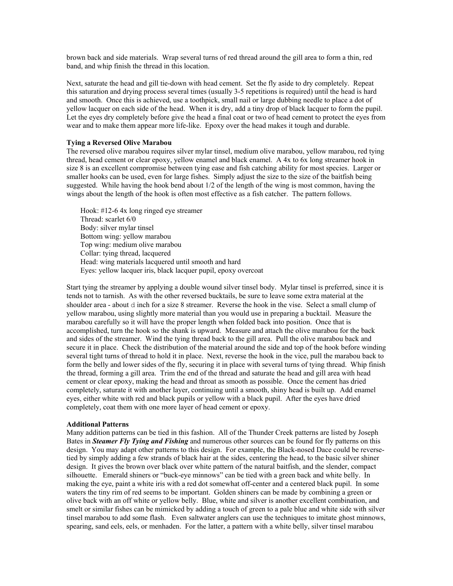brown back and side materials. Wrap several turns of red thread around the gill area to form a thin, red band, and whip finish the thread in this location.

Next, saturate the head and gill tie-down with head cement. Set the fly aside to dry completely. Repeat this saturation and drying process several times (usually 3-5 repetitions is required) until the head is hard and smooth. Once this is achieved, use a toothpick, small nail or large dubbing needle to place a dot of yellow lacquer on each side of the head. When it is dry, add a tiny drop of black lacquer to form the pupil. Let the eyes dry completely before give the head a final coat or two of head cement to protect the eyes from wear and to make them appear more life-like. Epoxy over the head makes it tough and durable.

#### **Tying a Reversed Olive Marabou**

The reversed olive marabou requires silver mylar tinsel, medium olive marabou, yellow marabou, red tying thread, head cement or clear epoxy, yellow enamel and black enamel. A 4x to 6x long streamer hook in size 8 is an excellent compromise between tying ease and fish catching ability for most species. Larger or smaller hooks can be used, even for large fishes. Simply adjust the size to the size of the baitfish being suggested. While having the hook bend about 1/2 of the length of the wing is most common, having the wings about the length of the hook is often most effective as a fish catcher. The pattern follows.

Hook: #12-6 4x long ringed eye streamer Thread: scarlet 6/0 Body: silver mylar tinsel Bottom wing: yellow marabou Top wing: medium olive marabou Collar: tying thread, lacquered Head: wing materials lacquered until smooth and hard Eyes: yellow lacquer iris, black lacquer pupil, epoxy overcoat

Start tying the streamer by applying a double wound silver tinsel body. Mylar tinsel is preferred, since it is tends not to tarnish. As with the other reversed bucktails, be sure to leave some extra material at the shoulder area - about d inch for a size 8 streamer. Reverse the hook in the vise. Select a small clump of yellow marabou, using slightly more material than you would use in preparing a bucktail. Measure the marabou carefully so it will have the proper length when folded back into position. Once that is accomplished, turn the hook so the shank is upward. Measure and attach the olive marabou for the back and sides of the streamer. Wind the tying thread back to the gill area. Pull the olive marabou back and secure it in place. Check the distribution of the material around the side and top of the hook before winding several tight turns of thread to hold it in place. Next, reverse the hook in the vice, pull the marabou back to form the belly and lower sides of the fly, securing it in place with several turns of tying thread. Whip finish the thread, forming a gill area. Trim the end of the thread and saturate the head and gill area with head cement or clear epoxy, making the head and throat as smooth as possible. Once the cement has dried completely, saturate it with another layer, continuing until a smooth, shiny head is built up. Add enamel eyes, either white with red and black pupils or yellow with a black pupil. After the eyes have dried completely, coat them with one more layer of head cement or epoxy.

#### **Additional Patterns**

Many addition patterns can be tied in this fashion. All of the Thunder Creek patterns are listed by Joseph Bates in *Steamer Fly Tying and Fishing* and numerous other sources can be found for fly patterns on this design. You may adapt other patterns to this design. For example, the Black-nosed Dace could be reversetied by simply adding a few strands of black hair at the sides, centering the head, to the basic silver shiner design. It gives the brown over black over white pattern of the natural baitfish, and the slender, compact silhouette. Emerald shiners or "buck-eye minnows" can be tied with a green back and white belly. In making the eye, paint a white iris with a red dot somewhat off-center and a centered black pupil. In some waters the tiny rim of red seems to be important. Golden shiners can be made by combining a green or olive back with an off white or yellow belly. Blue, white and silver is another excellent combination, and smelt or similar fishes can be mimicked by adding a touch of green to a pale blue and white side with silver tinsel marabou to add some flash. Even saltwater anglers can use the techniques to imitate ghost minnows, spearing, sand eels, eels, or menhaden. For the latter, a pattern with a white belly, silver tinsel marabou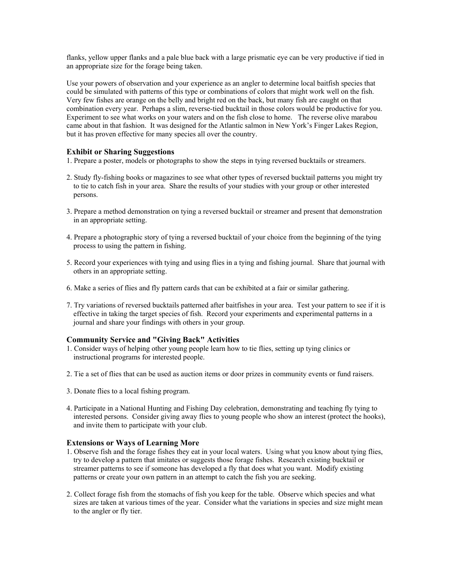flanks, yellow upper flanks and a pale blue back with a large prismatic eye can be very productive if tied in an appropriate size for the forage being taken.

Use your powers of observation and your experience as an angler to determine local baitfish species that could be simulated with patterns of this type or combinations of colors that might work well on the fish. Very few fishes are orange on the belly and bright red on the back, but many fish are caught on that combination every year. Perhaps a slim, reverse-tied bucktail in those colors would be productive for you. Experiment to see what works on your waters and on the fish close to home. The reverse olive marabou came about in that fashion. It was designed for the Atlantic salmon in New York's Finger Lakes Region, but it has proven effective for many species all over the country.

### **Exhibit or Sharing Suggestions**

1. Prepare a poster, models or photographs to show the steps in tying reversed bucktails or streamers.

- 2. Study fly-fishing books or magazines to see what other types of reversed bucktail patterns you might try to tie to catch fish in your area. Share the results of your studies with your group or other interested persons.
- 3. Prepare a method demonstration on tying a reversed bucktail or streamer and present that demonstration in an appropriate setting.
- 4. Prepare a photographic story of tying a reversed bucktail of your choice from the beginning of the tying process to using the pattern in fishing.
- 5. Record your experiences with tying and using flies in a tying and fishing journal. Share that journal with others in an appropriate setting.
- 6. Make a series of flies and fly pattern cards that can be exhibited at a fair or similar gathering.
- 7. Try variations of reversed bucktails patterned after baitfishes in your area. Test your pattern to see if it is effective in taking the target species of fish. Record your experiments and experimental patterns in a journal and share your findings with others in your group.

#### **Community Service and "Giving Back" Activities**

- 1. Consider ways of helping other young people learn how to tie flies, setting up tying clinics or instructional programs for interested people.
- 2. Tie a set of flies that can be used as auction items or door prizes in community events or fund raisers.
- 3. Donate flies to a local fishing program.
- 4. Participate in a National Hunting and Fishing Day celebration, demonstrating and teaching fly tying to interested persons. Consider giving away flies to young people who show an interest (protect the hooks), and invite them to participate with your club.

#### **Extensions or Ways of Learning More**

- 1. Observe fish and the forage fishes they eat in your local waters. Using what you know about tying flies, try to develop a pattern that imitates or suggests those forage fishes. Research existing bucktail or streamer patterns to see if someone has developed a fly that does what you want. Modify existing patterns or create your own pattern in an attempt to catch the fish you are seeking.
- 2. Collect forage fish from the stomachs of fish you keep for the table. Observe which species and what sizes are taken at various times of the year. Consider what the variations in species and size might mean to the angler or fly tier.